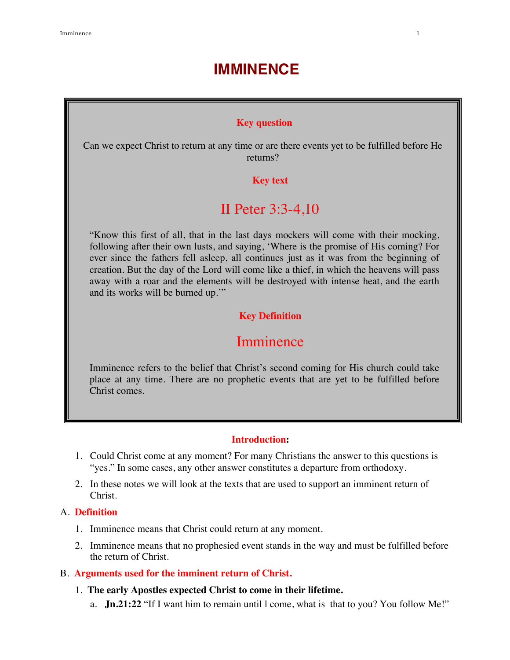# **IMMINENCE**

### **Key question**

Can we expect Christ to return at any time or are there events yet to be fulfilled before He returns?

### **Key text**

## II Peter 3:3-4,10

"Know this first of all, that in the last days mockers will come with their mocking, following after their own lusts, and saying, 'Where is the promise of His coming? For ever since the fathers fell asleep, all continues just as it was from the beginning of creation. But the day of the Lord will come like a thief, in which the heavens will pass away with a roar and the elements will be destroyed with intense heat, and the earth and its works will be burned up.'"

## **Key Definition**

## Imminence

Imminence refers to the belief that Christ's second coming for His church could take place at any time. There are no prophetic events that are yet to be fulfilled before Christ comes.

#### **Introduction:**

- 1. Could Christ come at any moment? For many Christians the answer to this questions is "yes." In some cases, any other answer constitutes a departure from orthodoxy.
- 2. In these notes we will look at the texts that are used to support an imminent return of Christ.

#### A. **Definition**

- 1. Imminence means that Christ could return at any moment.
- 2. Imminence means that no prophesied event stands in the way and must be fulfilled before the return of Christ.
- B. **Arguments used for the imminent return of Christ.**
	- 1. **The early Apostles expected Christ to come in their lifetime.**
		- a. **Jn.21:22** "If I want him to remain until l come, what is that to you? You follow Me!"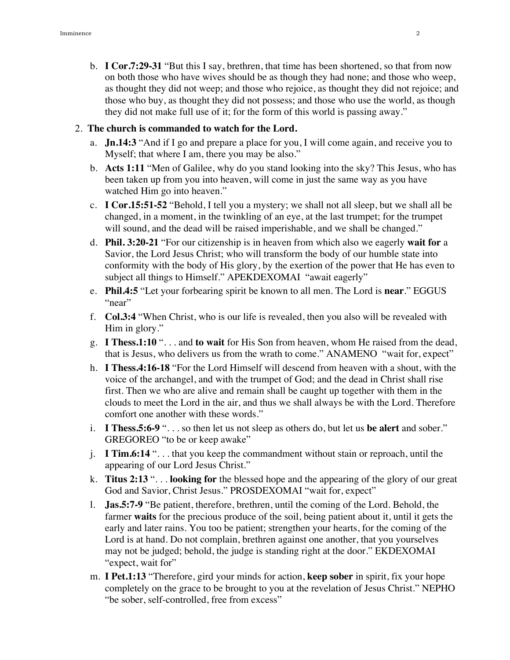b. **I Cor.7:29-31** "But this I say, brethren, that time has been shortened, so that from now on both those who have wives should be as though they had none; and those who weep, as thought they did not weep; and those who rejoice, as thought they did not rejoice; and those who buy, as thought they did not possess; and those who use the world, as though they did not make full use of it; for the form of this world is passing away."

#### 2. **The church is commanded to watch for the Lord.**

- a. **Jn.14:3** "And if I go and prepare a place for you, I will come again, and receive you to Myself; that where I am, there you may be also."
- b. **Acts 1:11** "Men of Galilee, why do you stand looking into the sky? This Jesus, who has been taken up from you into heaven, will come in just the same way as you have watched Him go into heaven."
- c. **I Cor.15:51-52** "Behold, I tell you a mystery; we shall not all sleep, but we shall all be changed, in a moment, in the twinkling of an eye, at the last trumpet; for the trumpet will sound, and the dead will be raised imperishable, and we shall be changed."
- d. **Phil. 3:20-21** "For our citizenship is in heaven from which also we eagerly **wait for** a Savior, the Lord Jesus Christ; who will transform the body of our humble state into conformity with the body of His glory, by the exertion of the power that He has even to subject all things to Himself." APEKDEXOMAI "await eagerly"
- e. **Phil.4:5** "Let your forbearing spirit be known to all men. The Lord is **near**." EGGUS "near"
- f. **Col.3:4** "When Christ, who is our life is revealed, then you also will be revealed with Him in glory."
- g. **I Thess.1:10** ". . . and **to wait** for His Son from heaven, whom He raised from the dead, that is Jesus, who delivers us from the wrath to come." ANAMENO "wait for, expect"
- h. **I Thess.4:16-18** "For the Lord Himself will descend from heaven with a shout, with the voice of the archangel, and with the trumpet of God; and the dead in Christ shall rise first. Then we who are alive and remain shall be caught up together with them in the clouds to meet the Lord in the air, and thus we shall always be with the Lord. Therefore comfort one another with these words."
- i. **I Thess.5:6-9** ". . . so then let us not sleep as others do, but let us **be alert** and sober." GREGOREO "to be or keep awake"
- j. **I Tim.6:14** ". . . that you keep the commandment without stain or reproach, until the appearing of our Lord Jesus Christ."
- k. **Titus 2:13** ". . . **looking for** the blessed hope and the appearing of the glory of our great God and Savior, Christ Jesus." PROSDEXOMAI "wait for, expect"
- l. **Jas.5:7-9** "Be patient, therefore, brethren, until the coming of the Lord. Behold, the farmer **waits** for the precious produce of the soil, being patient about it, until it gets the early and later rains. You too be patient; strengthen your hearts, for the coming of the Lord is at hand. Do not complain, brethren against one another, that you yourselves may not be judged; behold, the judge is standing right at the door." EKDEXOMAI "expect, wait for"
- m. **I Pet.1:13** "Therefore, gird your minds for action, **keep sober** in spirit, fix your hope completely on the grace to be brought to you at the revelation of Jesus Christ." NEPHO "be sober, self-controlled, free from excess"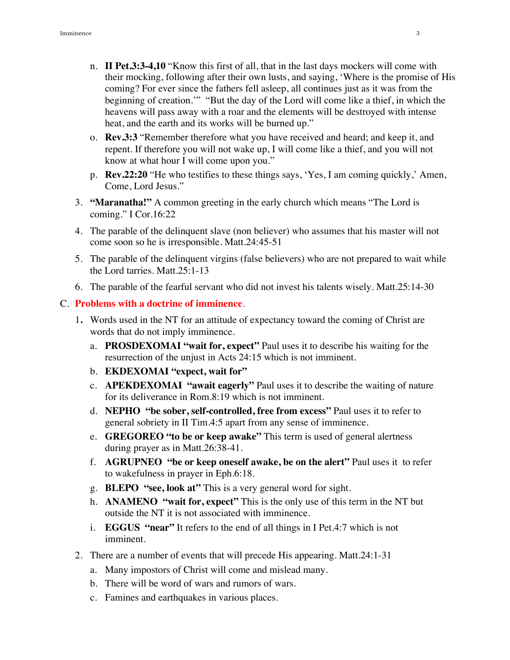- n. **II Pet.3:3-4,10** "Know this first of all, that in the last days mockers will come with their mocking, following after their own lusts, and saying, 'Where is the promise of His coming? For ever since the fathers fell asleep, all continues just as it was from the beginning of creation.'" "But the day of the Lord will come like a thief, in which the heavens will pass away with a roar and the elements will be destroyed with intense heat, and the earth and its works will be burned up."
- o. **Rev.3:3** "Remember therefore what you have received and heard; and keep it, and repent. If therefore you will not wake up, I will come like a thief, and you will not know at what hour I will come upon you."
- p. **Rev.22:20** "He who testifies to these things says, 'Yes, I am coming quickly,' Amen, Come, Lord Jesus."
- 3. **"Maranatha!"** A common greeting in the early church which means "The Lord is coming." I Cor.16:22
- 4. The parable of the delinquent slave (non believer) who assumes that his master will not come soon so he is irresponsible. Matt.24:45-51
- 5. The parable of the delinquent virgins (false believers) who are not prepared to wait while the Lord tarries. Matt.25:1-13
- 6. The parable of the fearful servant who did not invest his talents wisely. Matt.25:14-30

#### C. **Problems with a doctrine of imminence**.

- 1**.** Words used in the NT for an attitude of expectancy toward the coming of Christ are words that do not imply imminence.
	- a. **PROSDEXOMAI "wait for, expect"** Paul uses it to describe his waiting for the resurrection of the unjust in Acts 24:15 which is not imminent.
	- b. **EKDEXOMAI "expect, wait for"**
	- c. **APEKDEXOMAI "await eagerly"** Paul uses it to describe the waiting of nature for its deliverance in Rom.8:19 which is not imminent.
	- d. **NEPHO "be sober, self-controlled, free from excess"** Paul uses it to refer to general sobriety in II Tim.4:5 apart from any sense of imminence.
	- e. **GREGOREO "to be or keep awake"** This term is used of general alertness during prayer as in Matt.26:38-41.
	- f. **AGRUPNEO "be or keep oneself awake, be on the alert"** Paul uses it to refer to wakefulness in prayer in Eph.6:18.
	- g. **BLEPO "see, look at"** This is a very general word for sight.
	- h. **ANAMENO "wait for, expect"** This is the only use of this term in the NT but outside the NT it is not associated with imminence.
	- i. **EGGUS "near"** It refers to the end of all things in I Pet.4:7 which is not imminent.
- 2. There are a number of events that will precede His appearing. Matt.24:1-31
	- a. Many impostors of Christ will come and mislead many.
	- b. There will be word of wars and rumors of wars.
	- c. Famines and earthquakes in various places.